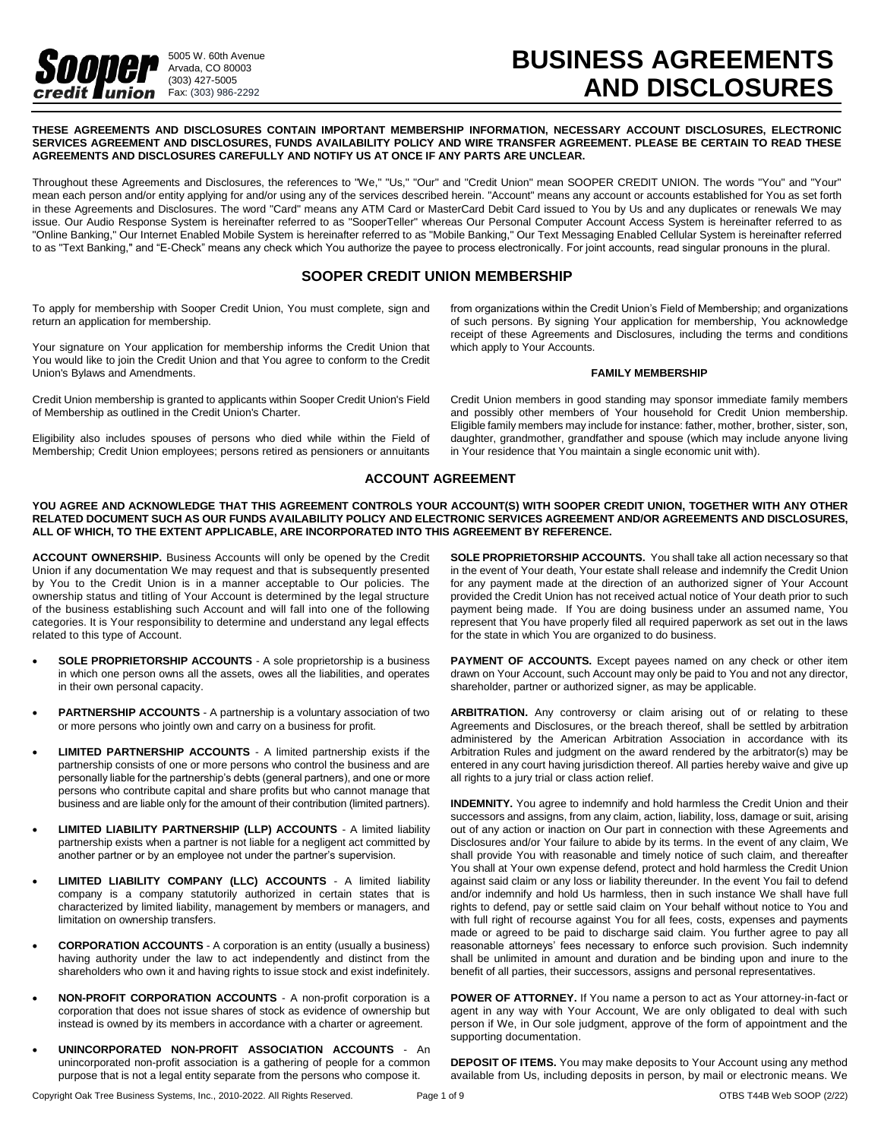

# **BUSINESS AGREEMENTS AND DISCLOSURES**

**THESE AGREEMENTS AND DISCLOSURES CONTAIN IMPORTANT MEMBERSHIP INFORMATION, NECESSARY ACCOUNT DISCLOSURES, ELECTRONIC SERVICES AGREEMENT AND DISCLOSURES, FUNDS AVAILABILITY POLICY AND WIRE TRANSFER AGREEMENT. PLEASE BE CERTAIN TO READ THESE AGREEMENTS AND DISCLOSURES CAREFULLY AND NOTIFY US AT ONCE IF ANY PARTS ARE UNCLEAR.**

Throughout these Agreements and Disclosures, the references to "We," "Us," "Our" and "Credit Union" mean SOOPER CREDIT UNION. The words "You" and "Your" mean each person and/or entity applying for and/or using any of the services described herein. "Account" means any account or accounts established for You as set forth in these Agreements and Disclosures. The word "Card" means any ATM Card or MasterCard Debit Card issued to You by Us and any duplicates or renewals We may issue. Our Audio Response System is hereinafter referred to as "SooperTeller" whereas Our Personal Computer Account Access System is hereinafter referred to as "Online Banking," Our Internet Enabled Mobile System is hereinafter referred to as "Mobile Banking," Our Text Messaging Enabled Cellular System is hereinafter referred to as "Text Banking," and "E-Check" means any check which You authorize the payee to process electronically. For joint accounts, read singular pronouns in the plural.

# **SOOPER CREDIT UNION MEMBERSHIP**

To apply for membership with Sooper Credit Union, You must complete, sign and return an application for membership.

Your signature on Your application for membership informs the Credit Union that You would like to join the Credit Union and that You agree to conform to the Credit Union's Bylaws and Amendments.

Credit Union membership is granted to applicants within Sooper Credit Union's Field of Membership as outlined in the Credit Union's Charter.

Eligibility also includes spouses of persons who died while within the Field of Membership; Credit Union employees; persons retired as pensioners or annuitants

from organizations within the Credit Union's Field of Membership; and organizations of such persons. By signing Your application for membership, You acknowledge receipt of these Agreements and Disclosures, including the terms and conditions which apply to Your Accounts.

#### **FAMILY MEMBERSHIP**

Credit Union members in good standing may sponsor immediate family members and possibly other members of Your household for Credit Union membership. Eligible family members may include for instance: father, mother, brother, sister, son, daughter, grandmother, grandfather and spouse (which may include anyone living in Your residence that You maintain a single economic unit with).

# **ACCOUNT AGREEMENT**

**YOU AGREE AND ACKNOWLEDGE THAT THIS AGREEMENT CONTROLS YOUR ACCOUNT(S) WITH SOOPER CREDIT UNION, TOGETHER WITH ANY OTHER RELATED DOCUMENT SUCH AS OUR FUNDS AVAILABILITY POLICY AND ELECTRONIC SERVICES AGREEMENT AND/OR AGREEMENTS AND DISCLOSURES, ALL OF WHICH, TO THE EXTENT APPLICABLE, ARE INCORPORATED INTO THIS AGREEMENT BY REFERENCE.** 

**ACCOUNT OWNERSHIP.** Business Accounts will only be opened by the Credit Union if any documentation We may request and that is subsequently presented by You to the Credit Union is in a manner acceptable to Our policies. The ownership status and titling of Your Account is determined by the legal structure of the business establishing such Account and will fall into one of the following categories. It is Your responsibility to determine and understand any legal effects related to this type of Account.

- **SOLE PROPRIETORSHIP ACCOUNTS**  A sole proprietorship is a business in which one person owns all the assets, owes all the liabilities, and operates in their own personal capacity.
- **PARTNERSHIP ACCOUNTS**  A partnership is a voluntary association of two or more persons who jointly own and carry on a business for profit.
- **LIMITED PARTNERSHIP ACCOUNTS**  A limited partnership exists if the partnership consists of one or more persons who control the business and are personally liable for the partnership's debts (general partners), and one or more persons who contribute capital and share profits but who cannot manage that business and are liable only for the amount of their contribution (limited partners).
- **LIMITED LIABILITY PARTNERSHIP (LLP) ACCOUNTS**  A limited liability partnership exists when a partner is not liable for a negligent act committed by another partner or by an employee not under the partner's supervision.
- **LIMITED LIABILITY COMPANY (LLC) ACCOUNTS**  A limited liability company is a company statutorily authorized in certain states that is characterized by limited liability, management by members or managers, and limitation on ownership transfers.
- **CORPORATION ACCOUNTS**  A corporation is an entity (usually a business) having authority under the law to act independently and distinct from the shareholders who own it and having rights to issue stock and exist indefinitely.
- **NON-PROFIT CORPORATION ACCOUNTS**  A non-profit corporation is a corporation that does not issue shares of stock as evidence of ownership but instead is owned by its members in accordance with a charter or agreement.
- **UNINCORPORATED NON-PROFIT ASSOCIATION ACCOUNTS** An unincorporated non-profit association is a gathering of people for a common purpose that is not a legal entity separate from the persons who compose it.

**SOLE PROPRIETORSHIP ACCOUNTS.** You shall take all action necessary so that in the event of Your death, Your estate shall release and indemnify the Credit Union for any payment made at the direction of an authorized signer of Your Account provided the Credit Union has not received actual notice of Your death prior to such payment being made. If You are doing business under an assumed name, You represent that You have properly filed all required paperwork as set out in the laws for the state in which You are organized to do business.

**PAYMENT OF ACCOUNTS.** Except payees named on any check or other item drawn on Your Account, such Account may only be paid to You and not any director, shareholder, partner or authorized signer, as may be applicable.

**ARBITRATION.** Any controversy or claim arising out of or relating to these Agreements and Disclosures, or the breach thereof, shall be settled by arbitration administered by the American Arbitration Association in accordance with its Arbitration Rules and judgment on the award rendered by the arbitrator(s) may be entered in any court having jurisdiction thereof. All parties hereby waive and give up all rights to a jury trial or class action relief.

**INDEMNITY.** You agree to indemnify and hold harmless the Credit Union and their successors and assigns, from any claim, action, liability, loss, damage or suit, arising out of any action or inaction on Our part in connection with these Agreements and Disclosures and/or Your failure to abide by its terms. In the event of any claim, We shall provide You with reasonable and timely notice of such claim, and thereafter You shall at Your own expense defend, protect and hold harmless the Credit Union against said claim or any loss or liability thereunder. In the event You fail to defend and/or indemnify and hold Us harmless, then in such instance We shall have full rights to defend, pay or settle said claim on Your behalf without notice to You and with full right of recourse against You for all fees, costs, expenses and payments made or agreed to be paid to discharge said claim. You further agree to pay all reasonable attorneys' fees necessary to enforce such provision. Such indemnity shall be unlimited in amount and duration and be binding upon and inure to the benefit of all parties, their successors, assigns and personal representatives.

**POWER OF ATTORNEY.** If You name a person to act as Your attorney-in-fact or agent in any way with Your Account, We are only obligated to deal with such person if We, in Our sole judgment, approve of the form of appointment and the supporting documentation.

**DEPOSIT OF ITEMS.** You may make deposits to Your Account using any method available from Us, including deposits in person, by mail or electronic means. We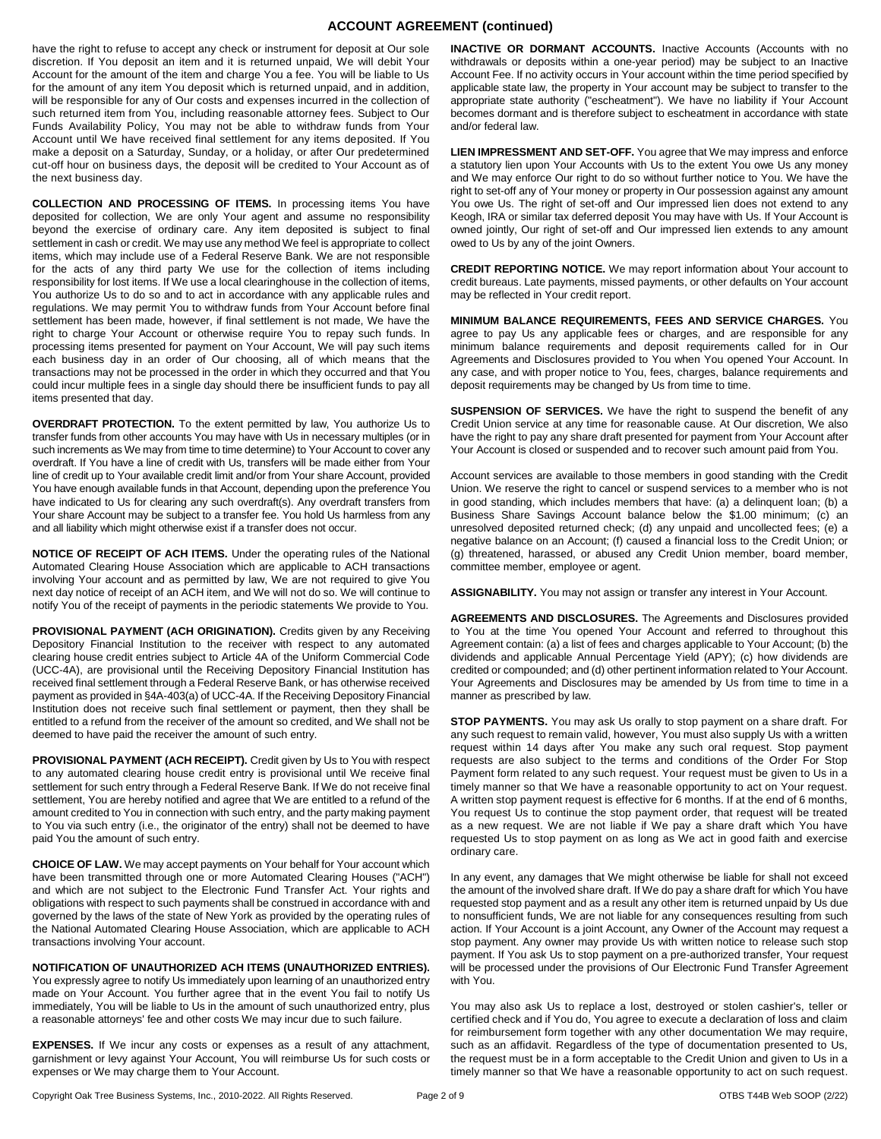# **ACCOUNT AGREEMENT (continued)**

have the right to refuse to accept any check or instrument for deposit at Our sole discretion. If You deposit an item and it is returned unpaid, We will debit Your Account for the amount of the item and charge You a fee. You will be liable to Us for the amount of any item You deposit which is returned unpaid, and in addition, will be responsible for any of Our costs and expenses incurred in the collection of such returned item from You, including reasonable attorney fees. Subject to Our Funds Availability Policy, You may not be able to withdraw funds from Your Account until We have received final settlement for any items deposited. If You make a deposit on a Saturday, Sunday, or a holiday, or after Our predetermined cut-off hour on business days, the deposit will be credited to Your Account as of the next business day.

**COLLECTION AND PROCESSING OF ITEMS.** In processing items You have deposited for collection, We are only Your agent and assume no responsibility beyond the exercise of ordinary care. Any item deposited is subject to final settlement in cash or credit. We may use any method We feel is appropriate to collect items, which may include use of a Federal Reserve Bank. We are not responsible for the acts of any third party We use for the collection of items including responsibility for lost items. If We use a local clearinghouse in the collection of items, You authorize Us to do so and to act in accordance with any applicable rules and regulations. We may permit You to withdraw funds from Your Account before final settlement has been made, however, if final settlement is not made, We have the right to charge Your Account or otherwise require You to repay such funds. In processing items presented for payment on Your Account, We will pay such items each business day in an order of Our choosing, all of which means that the transactions may not be processed in the order in which they occurred and that You could incur multiple fees in a single day should there be insufficient funds to pay all items presented that day.

**OVERDRAFT PROTECTION.** To the extent permitted by law, You authorize Us to transfer funds from other accounts You may have with Us in necessary multiples (or in such increments as We may from time to time determine) to Your Account to cover any overdraft. If You have a line of credit with Us, transfers will be made either from Your line of credit up to Your available credit limit and/or from Your share Account, provided You have enough available funds in that Account, depending upon the preference You have indicated to Us for clearing any such overdraft(s). Any overdraft transfers from Your share Account may be subject to a transfer fee. You hold Us harmless from any and all liability which might otherwise exist if a transfer does not occur.

**NOTICE OF RECEIPT OF ACH ITEMS.** Under the operating rules of the National Automated Clearing House Association which are applicable to ACH transactions involving Your account and as permitted by law, We are not required to give You next day notice of receipt of an ACH item, and We will not do so. We will continue to notify You of the receipt of payments in the periodic statements We provide to You.

**PROVISIONAL PAYMENT (ACH ORIGINATION).** Credits given by any Receiving Depository Financial Institution to the receiver with respect to any automated clearing house credit entries subject to Article 4A of the Uniform Commercial Code (UCC-4A), are provisional until the Receiving Depository Financial Institution has received final settlement through a Federal Reserve Bank, or has otherwise received payment as provided in §4A-403(a) of UCC-4A. If the Receiving Depository Financial Institution does not receive such final settlement or payment, then they shall be entitled to a refund from the receiver of the amount so credited, and We shall not be deemed to have paid the receiver the amount of such entry.

**PROVISIONAL PAYMENT (ACH RECEIPT).** Credit given by Us to You with respect to any automated clearing house credit entry is provisional until We receive final settlement for such entry through a Federal Reserve Bank. If We do not receive final settlement, You are hereby notified and agree that We are entitled to a refund of the amount credited to You in connection with such entry, and the party making payment to You via such entry (i.e., the originator of the entry) shall not be deemed to have paid You the amount of such entry.

**CHOICE OF LAW.** We may accept payments on Your behalf for Your account which have been transmitted through one or more Automated Clearing Houses ("ACH") and which are not subject to the Electronic Fund Transfer Act. Your rights and obligations with respect to such payments shall be construed in accordance with and governed by the laws of the state of New York as provided by the operating rules of the National Automated Clearing House Association, which are applicable to ACH transactions involving Your account.

#### **NOTIFICATION OF UNAUTHORIZED ACH ITEMS (UNAUTHORIZED ENTRIES).**

You expressly agree to notify Us immediately upon learning of an unauthorized entry made on Your Account. You further agree that in the event You fail to notify Us immediately, You will be liable to Us in the amount of such unauthorized entry, plus a reasonable attorneys' fee and other costs We may incur due to such failure.

**EXPENSES.** If We incur any costs or expenses as a result of any attachment, garnishment or levy against Your Account, You will reimburse Us for such costs or expenses or We may charge them to Your Account.

**INACTIVE OR DORMANT ACCOUNTS.** Inactive Accounts (Accounts with no withdrawals or deposits within a one-year period) may be subject to an Inactive Account Fee. If no activity occurs in Your account within the time period specified by applicable state law, the property in Your account may be subject to transfer to the appropriate state authority ("escheatment"). We have no liability if Your Account becomes dormant and is therefore subject to escheatment in accordance with state and/or federal law.

**LIEN IMPRESSMENT AND SET-OFF.** You agree that We may impress and enforce a statutory lien upon Your Accounts with Us to the extent You owe Us any money and We may enforce Our right to do so without further notice to You. We have the right to set-off any of Your money or property in Our possession against any amount You owe Us. The right of set-off and Our impressed lien does not extend to any Keogh, IRA or similar tax deferred deposit You may have with Us. If Your Account is owned jointly, Our right of set-off and Our impressed lien extends to any amount owed to Us by any of the joint Owners.

**CREDIT REPORTING NOTICE.** We may report information about Your account to credit bureaus. Late payments, missed payments, or other defaults on Your account may be reflected in Your credit report.

**MINIMUM BALANCE REQUIREMENTS, FEES AND SERVICE CHARGES.** You agree to pay Us any applicable fees or charges, and are responsible for any minimum balance requirements and deposit requirements called for in Our Agreements and Disclosures provided to You when You opened Your Account. In any case, and with proper notice to You, fees, charges, balance requirements and deposit requirements may be changed by Us from time to time.

**SUSPENSION OF SERVICES.** We have the right to suspend the benefit of any Credit Union service at any time for reasonable cause. At Our discretion, We also have the right to pay any share draft presented for payment from Your Account after Your Account is closed or suspended and to recover such amount paid from You.

Account services are available to those members in good standing with the Credit Union. We reserve the right to cancel or suspend services to a member who is not in good standing, which includes members that have: (a) a delinquent loan; (b) a Business Share Savings Account balance below the \$1.00 minimum; (c) an unresolved deposited returned check; (d) any unpaid and uncollected fees; (e) a negative balance on an Account; (f) caused a financial loss to the Credit Union; or (g) threatened, harassed, or abused any Credit Union member, board member, committee member, employee or agent.

**ASSIGNABILITY.** You may not assign or transfer any interest in Your Account.

**AGREEMENTS AND DISCLOSURES.** The Agreements and Disclosures provided to You at the time You opened Your Account and referred to throughout this Agreement contain: (a) a list of fees and charges applicable to Your Account; (b) the dividends and applicable Annual Percentage Yield (APY); (c) how dividends are credited or compounded; and (d) other pertinent information related to Your Account. Your Agreements and Disclosures may be amended by Us from time to time in a manner as prescribed by law.

**STOP PAYMENTS.** You may ask Us orally to stop payment on a share draft. For any such request to remain valid, however, You must also supply Us with a written request within 14 days after You make any such oral request. Stop payment requests are also subject to the terms and conditions of the Order For Stop Payment form related to any such request. Your request must be given to Us in a timely manner so that We have a reasonable opportunity to act on Your request. A written stop payment request is effective for 6 months. If at the end of 6 months, You request Us to continue the stop payment order, that request will be treated as a new request. We are not liable if We pay a share draft which You have requested Us to stop payment on as long as We act in good faith and exercise ordinary care.

In any event, any damages that We might otherwise be liable for shall not exceed the amount of the involved share draft. If We do pay a share draft for which You have requested stop payment and as a result any other item is returned unpaid by Us due to nonsufficient funds, We are not liable for any consequences resulting from such action. If Your Account is a joint Account, any Owner of the Account may request a stop payment. Any owner may provide Us with written notice to release such stop payment. If You ask Us to stop payment on a pre-authorized transfer, Your request will be processed under the provisions of Our Electronic Fund Transfer Agreement with You.

You may also ask Us to replace a lost, destroyed or stolen cashier's, teller or certified check and if You do, You agree to execute a declaration of loss and claim for reimbursement form together with any other documentation We may require, such as an affidavit. Regardless of the type of documentation presented to Us, the request must be in a form acceptable to the Credit Union and given to Us in a timely manner so that We have a reasonable opportunity to act on such request.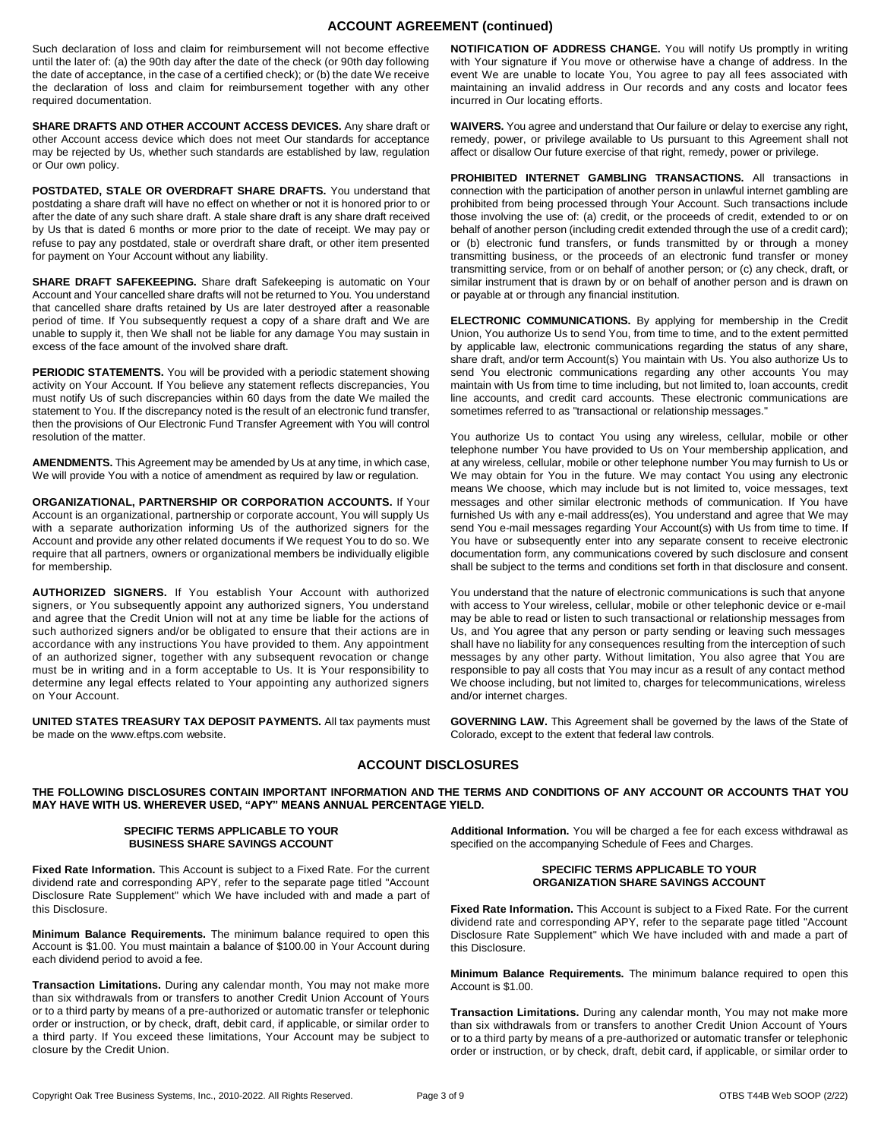# **ACCOUNT AGREEMENT (continued)**

Such declaration of loss and claim for reimbursement will not become effective until the later of: (a) the 90th day after the date of the check (or 90th day following the date of acceptance, in the case of a certified check); or (b) the date We receive the declaration of loss and claim for reimbursement together with any other required documentation.

**SHARE DRAFTS AND OTHER ACCOUNT ACCESS DEVICES.** Any share draft or other Account access device which does not meet Our standards for acceptance may be rejected by Us, whether such standards are established by law, regulation or Our own policy.

**POSTDATED, STALE OR OVERDRAFT SHARE DRAFTS.** You understand that postdating a share draft will have no effect on whether or not it is honored prior to or after the date of any such share draft. A stale share draft is any share draft received by Us that is dated 6 months or more prior to the date of receipt. We may pay or refuse to pay any postdated, stale or overdraft share draft, or other item presented for payment on Your Account without any liability.

**SHARE DRAFT SAFEKEEPING.** Share draft Safekeeping is automatic on Your Account and Your cancelled share drafts will not be returned to You. You understand that cancelled share drafts retained by Us are later destroyed after a reasonable period of time. If You subsequently request a copy of a share draft and We are unable to supply it, then We shall not be liable for any damage You may sustain in excess of the face amount of the involved share draft.

**PERIODIC STATEMENTS.** You will be provided with a periodic statement showing activity on Your Account. If You believe any statement reflects discrepancies, You must notify Us of such discrepancies within 60 days from the date We mailed the statement to You. If the discrepancy noted is the result of an electronic fund transfer, then the provisions of Our Electronic Fund Transfer Agreement with You will control resolution of the matter.

**AMENDMENTS.** This Agreement may be amended by Us at any time, in which case, We will provide You with a notice of amendment as required by law or regulation.

**ORGANIZATIONAL, PARTNERSHIP OR CORPORATION ACCOUNTS.** If Your Account is an organizational, partnership or corporate account, You will supply Us with a separate authorization informing Us of the authorized signers for the Account and provide any other related documents if We request You to do so. We require that all partners, owners or organizational members be individually eligible for membership.

**AUTHORIZED SIGNERS.** If You establish Your Account with authorized signers, or You subsequently appoint any authorized signers, You understand and agree that the Credit Union will not at any time be liable for the actions of such authorized signers and/or be obligated to ensure that their actions are in accordance with any instructions You have provided to them. Any appointment of an authorized signer, together with any subsequent revocation or change must be in writing and in a form acceptable to Us. It is Your responsibility to determine any legal effects related to Your appointing any authorized signers on Your Account.

**UNITED STATES TREASURY TAX DEPOSIT PAYMENTS.** All tax payments must be made on the www.eftps.com website.

**NOTIFICATION OF ADDRESS CHANGE.** You will notify Us promptly in writing with Your signature if You move or otherwise have a change of address. In the event We are unable to locate You, You agree to pay all fees associated with maintaining an invalid address in Our records and any costs and locator fees incurred in Our locating efforts.

**WAIVERS.** You agree and understand that Our failure or delay to exercise any right, remedy, power, or privilege available to Us pursuant to this Agreement shall not affect or disallow Our future exercise of that right, remedy, power or privilege.

**PROHIBITED INTERNET GAMBLING TRANSACTIONS.** All transactions in connection with the participation of another person in unlawful internet gambling are prohibited from being processed through Your Account. Such transactions include those involving the use of: (a) credit, or the proceeds of credit, extended to or on behalf of another person (including credit extended through the use of a credit card); or (b) electronic fund transfers, or funds transmitted by or through a money transmitting business, or the proceeds of an electronic fund transfer or money transmitting service, from or on behalf of another person; or (c) any check, draft, or similar instrument that is drawn by or on behalf of another person and is drawn on or payable at or through any financial institution.

**ELECTRONIC COMMUNICATIONS.** By applying for membership in the Credit Union, You authorize Us to send You, from time to time, and to the extent permitted by applicable law, electronic communications regarding the status of any share, share draft, and/or term Account(s) You maintain with Us. You also authorize Us to send You electronic communications regarding any other accounts You may maintain with Us from time to time including, but not limited to, loan accounts, credit line accounts, and credit card accounts. These electronic communications are sometimes referred to as "transactional or relationship messages."

You authorize Us to contact You using any wireless, cellular, mobile or other telephone number You have provided to Us on Your membership application, and at any wireless, cellular, mobile or other telephone number You may furnish to Us or We may obtain for You in the future. We may contact You using any electronic means We choose, which may include but is not limited to, voice messages, text messages and other similar electronic methods of communication. If You have furnished Us with any e-mail address(es), You understand and agree that We may send You e-mail messages regarding Your Account(s) with Us from time to time. If You have or subsequently enter into any separate consent to receive electronic documentation form, any communications covered by such disclosure and consent shall be subject to the terms and conditions set forth in that disclosure and consent.

You understand that the nature of electronic communications is such that anyone with access to Your wireless, cellular, mobile or other telephonic device or e-mail may be able to read or listen to such transactional or relationship messages from Us, and You agree that any person or party sending or leaving such messages shall have no liability for any consequences resulting from the interception of such messages by any other party. Without limitation, You also agree that You are responsible to pay all costs that You may incur as a result of any contact method We choose including, but not limited to, charges for telecommunications, wireless and/or internet charges.

**GOVERNING LAW.** This Agreement shall be governed by the laws of the State of Colorado, except to the extent that federal law controls.

# **ACCOUNT DISCLOSURES**

**THE FOLLOWING DISCLOSURES CONTAIN IMPORTANT INFORMATION AND THE TERMS AND CONDITIONS OF ANY ACCOUNT OR ACCOUNTS THAT YOU MAY HAVE WITH US. WHEREVER USED, "APY" MEANS ANNUAL PERCENTAGE YIELD.** 

#### **SPECIFIC TERMS APPLICABLE TO YOUR BUSINESS SHARE SAVINGS ACCOUNT**

**Additional Information.** You will be charged a fee for each excess withdrawal as specified on the accompanying Schedule of Fees and Charges.

#### **SPECIFIC TERMS APPLICABLE TO YOUR ORGANIZATION SHARE SAVINGS ACCOUNT**

**Fixed Rate Information.** This Account is subject to a Fixed Rate. For the current dividend rate and corresponding APY, refer to the separate page titled "Account Disclosure Rate Supplement" which We have included with and made a part of this Disclosure.

**Minimum Balance Requirements.** The minimum balance required to open this Account is \$1.00.

**Transaction Limitations.** During any calendar month, You may not make more than six withdrawals from or transfers to another Credit Union Account of Yours or to a third party by means of a pre-authorized or automatic transfer or telephonic order or instruction, or by check, draft, debit card, if applicable, or similar order to

#### **Fixed Rate Information.** This Account is subject to a Fixed Rate. For the current dividend rate and corresponding APY, refer to the separate page titled "Account Disclosure Rate Supplement" which We have included with and made a part of this Disclosure.

**Minimum Balance Requirements.** The minimum balance required to open this Account is \$1.00. You must maintain a balance of \$100.00 in Your Account during each dividend period to avoid a fee.

**Transaction Limitations.** During any calendar month, You may not make more than six withdrawals from or transfers to another Credit Union Account of Yours or to a third party by means of a pre-authorized or automatic transfer or telephonic order or instruction, or by check, draft, debit card, if applicable, or similar order to a third party. If You exceed these limitations, Your Account may be subject to closure by the Credit Union.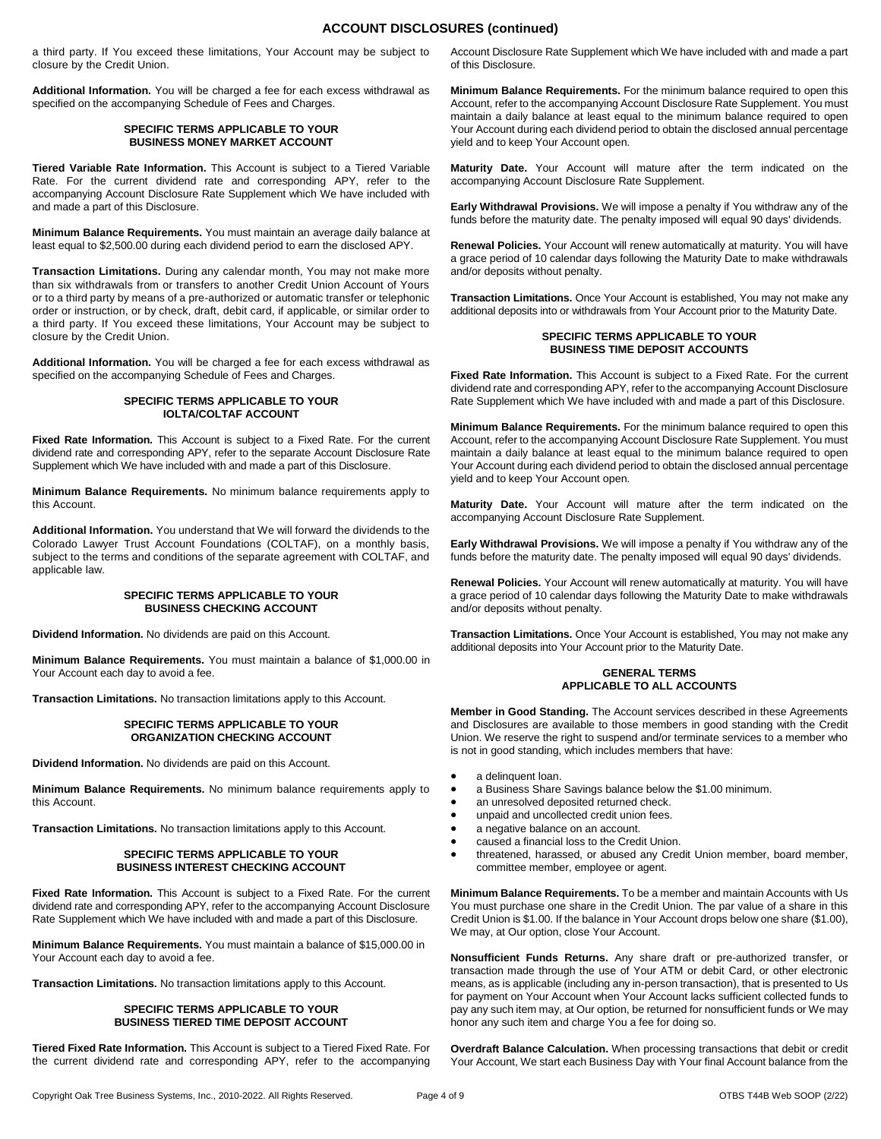# **ACCOUNT DISCLOSURES (continued)**

a third party. If You exceed these limitations, Your Account may be subject to closure by the Credit Union.

**Additional Information.** You will be charged a fee for each excess withdrawal as specified on the accompanying Schedule of Fees and Charges.

#### **SPECIFIC TERMS APPLICABLE TO YOUR BUSINESS MONEY MARKET ACCOUNT**

**Tiered Variable Rate Information.** This Account is subject to a Tiered Variable Rate. For the current dividend rate and corresponding APY, refer to the accompanying Account Disclosure Rate Supplement which We have included with and made a part of this Disclosure.

**Minimum Balance Requirements.** You must maintain an average daily balance at least equal to \$2,500.00 during each dividend period to earn the disclosed APY.

**Transaction Limitations.** During any calendar month, You may not make more than six withdrawals from or transfers to another Credit Union Account of Yours or to a third party by means of a pre-authorized or automatic transfer or telephonic order or instruction, or by check, draft, debit card, if applicable, or similar order to a third party. If You exceed these limitations, Your Account may be subject to closure by the Credit Union.

**Additional Information.** You will be charged a fee for each excess withdrawal as specified on the accompanying Schedule of Fees and Charges.

# **SPECIFIC TERMS APPLICABLE TO YOUR IOLTA/COLTAF ACCOUNT**

**Fixed Rate Information.** This Account is subject to a Fixed Rate. For the current dividend rate and corresponding APY, refer to the separate Account Disclosure Rate Supplement which We have included with and made a part of this Disclosure.

**Minimum Balance Requirements.** No minimum balance requirements apply to this Account.

**Additional Information.** You understand that We will forward the dividends to the Colorado Lawyer Trust Account Foundations (COLTAF), on a monthly basis, subject to the terms and conditions of the separate agreement with COLTAF, and applicable law.

#### **SPECIFIC TERMS APPLICABLE TO YOUR BUSINESS CHECKING ACCOUNT**

**Dividend Information.** No dividends are paid on this Account.

**Minimum Balance Requirements.** You must maintain a balance of \$1,000.00 in Your Account each day to avoid a fee.

**Transaction Limitations.** No transaction limitations apply to this Account.

#### **SPECIFIC TERMS APPLICABLE TO YOUR ORGANIZATION CHECKING ACCOUNT**

**Dividend Information.** No dividends are paid on this Account.

**Minimum Balance Requirements.** No minimum balance requirements apply to this Account.

**Transaction Limitations.** No transaction limitations apply to this Account.

#### **SPECIFIC TERMS APPLICABLE TO YOUR BUSINESS INTEREST CHECKING ACCOUNT**

**Fixed Rate Information.** This Account is subject to a Fixed Rate. For the current dividend rate and corresponding APY, refer to the accompanying Account Disclosure Rate Supplement which We have included with and made a part of this Disclosure.

**Minimum Balance Requirements.** You must maintain a balance of \$15,000.00 in Your Account each day to avoid a fee.

**Transaction Limitations.** No transaction limitations apply to this Account.

#### **SPECIFIC TERMS APPLICABLE TO YOUR BUSINESS TIERED TIME DEPOSIT ACCOUNT**

**Tiered Fixed Rate Information.** This Account is subject to a Tiered Fixed Rate. For the current dividend rate and corresponding APY, refer to the accompanying Account Disclosure Rate Supplement which We have included with and made a part of this Disclosure.

**Minimum Balance Requirements.** For the minimum balance required to open this Account, refer to the accompanying Account Disclosure Rate Supplement. You must maintain a daily balance at least equal to the minimum balance required to open Your Account during each dividend period to obtain the disclosed annual percentage yield and to keep Your Account open.

**Maturity Date.** Your Account will mature after the term indicated on the accompanying Account Disclosure Rate Supplement.

**Early Withdrawal Provisions.** We will impose a penalty if You withdraw any of the funds before the maturity date. The penalty imposed will equal 90 days' dividends.

**Renewal Policies.** Your Account will renew automatically at maturity. You will have a grace period of 10 calendar days following the Maturity Date to make withdrawals and/or deposits without penalty.

**Transaction Limitations.** Once Your Account is established, You may not make any additional deposits into or withdrawals from Your Account prior to the Maturity Date.

#### **SPECIFIC TERMS APPLICABLE TO YOUR BUSINESS TIME DEPOSIT ACCOUNTS**

**Fixed Rate Information.** This Account is subject to a Fixed Rate. For the current dividend rate and corresponding APY, refer to the accompanying Account Disclosure Rate Supplement which We have included with and made a part of this Disclosure.

**Minimum Balance Requirements.** For the minimum balance required to open this Account, refer to the accompanying Account Disclosure Rate Supplement. You must maintain a daily balance at least equal to the minimum balance required to open Your Account during each dividend period to obtain the disclosed annual percentage yield and to keep Your Account open.

**Maturity Date.** Your Account will mature after the term indicated on the accompanying Account Disclosure Rate Supplement.

**Early Withdrawal Provisions.** We will impose a penalty if You withdraw any of the funds before the maturity date. The penalty imposed will equal 90 days' dividends.

**Renewal Policies.** Your Account will renew automatically at maturity. You will have a grace period of 10 calendar days following the Maturity Date to make withdrawals and/or deposits without penalty.

**Transaction Limitations.** Once Your Account is established, You may not make any additional deposits into Your Account prior to the Maturity Date.

#### **GENERAL TERMS APPLICABLE TO ALL ACCOUNTS**

**Member in Good Standing.** The Account services described in these Agreements and Disclosures are available to those members in good standing with the Credit Union. We reserve the right to suspend and/or terminate services to a member who is not in good standing, which includes members that have:

- a delinquent loan.
- a Business Share Savings balance below the \$1.00 minimum.
- an unresolved deposited returned check.
- unpaid and uncollected credit union fees.
- a negative balance on an account.
- caused a financial loss to the Credit Union.
- threatened, harassed, or abused any Credit Union member, board member, committee member, employee or agent.

**Minimum Balance Requirements.** To be a member and maintain Accounts with Us You must purchase one share in the Credit Union. The par value of a share in this Credit Union is \$1.00. If the balance in Your Account drops below one share (\$1.00), We may, at Our option, close Your Account.

**Nonsufficient Funds Returns.** Any share draft or pre-authorized transfer, or transaction made through the use of Your ATM or debit Card, or other electronic means, as is applicable (including any in-person transaction), that is presented to Us for payment on Your Account when Your Account lacks sufficient collected funds to pay any such item may, at Our option, be returned for nonsufficient funds or We may honor any such item and charge You a fee for doing so.

**Overdraft Balance Calculation.** When processing transactions that debit or credit Your Account, We start each Business Day with Your final Account balance from the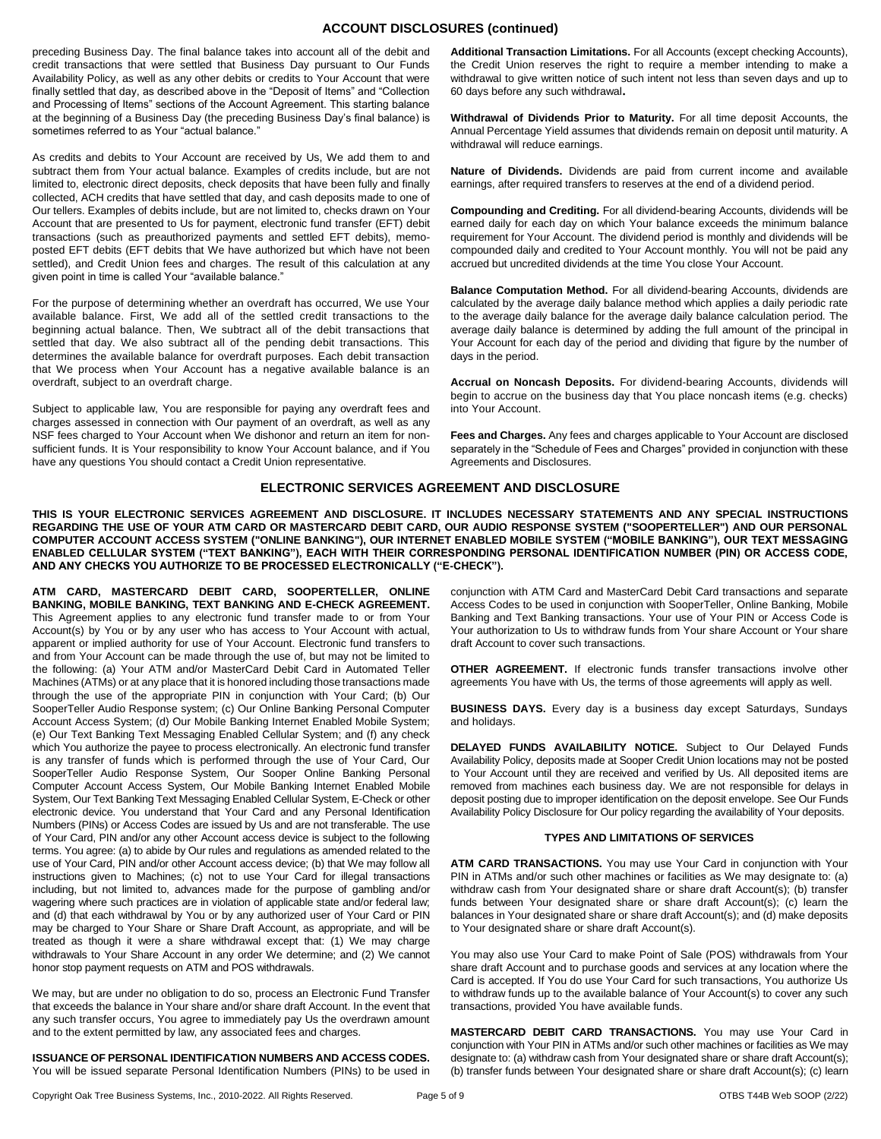# **ACCOUNT DISCLOSURES (continued)**

preceding Business Day. The final balance takes into account all of the debit and credit transactions that were settled that Business Day pursuant to Our Funds Availability Policy, as well as any other debits or credits to Your Account that were finally settled that day, as described above in the "Deposit of Items" and "Collection and Processing of Items" sections of the Account Agreement. This starting balance at the beginning of a Business Day (the preceding Business Day's final balance) is sometimes referred to as Your "actual balance."

As credits and debits to Your Account are received by Us, We add them to and subtract them from Your actual balance. Examples of credits include, but are not limited to, electronic direct deposits, check deposits that have been fully and finally collected, ACH credits that have settled that day, and cash deposits made to one of Our tellers. Examples of debits include, but are not limited to, checks drawn on Your Account that are presented to Us for payment, electronic fund transfer (EFT) debit transactions (such as preauthorized payments and settled EFT debits), memoposted EFT debits (EFT debits that We have authorized but which have not been settled), and Credit Union fees and charges. The result of this calculation at any given point in time is called Your "available balance."

For the purpose of determining whether an overdraft has occurred, We use Your available balance. First, We add all of the settled credit transactions to the beginning actual balance. Then, We subtract all of the debit transactions that settled that day. We also subtract all of the pending debit transactions. This determines the available balance for overdraft purposes. Each debit transaction that We process when Your Account has a negative available balance is an overdraft, subject to an overdraft charge.

Subject to applicable law, You are responsible for paying any overdraft fees and charges assessed in connection with Our payment of an overdraft, as well as any NSF fees charged to Your Account when We dishonor and return an item for nonsufficient funds. It is Your responsibility to know Your Account balance, and if You have any questions You should contact a Credit Union representative.

**Additional Transaction Limitations.** For all Accounts (except checking Accounts), the Credit Union reserves the right to require a member intending to make a withdrawal to give written notice of such intent not less than seven days and up to 60 days before any such withdrawal.

**Withdrawal of Dividends Prior to Maturity.** For all time deposit Accounts, the Annual Percentage Yield assumes that dividends remain on deposit until maturity. A withdrawal will reduce earnings.

**Nature of Dividends.** Dividends are paid from current income and available earnings, after required transfers to reserves at the end of a dividend period.

**Compounding and Crediting.** For all dividend-bearing Accounts, dividends will be earned daily for each day on which Your balance exceeds the minimum balance requirement for Your Account. The dividend period is monthly and dividends will be compounded daily and credited to Your Account monthly. You will not be paid any accrued but uncredited dividends at the time You close Your Account.

**Balance Computation Method.** For all dividend-bearing Accounts, dividends are calculated by the average daily balance method which applies a daily periodic rate to the average daily balance for the average daily balance calculation period. The average daily balance is determined by adding the full amount of the principal in Your Account for each day of the period and dividing that figure by the number of days in the period.

**Accrual on Noncash Deposits.** For dividend-bearing Accounts, dividends will begin to accrue on the business day that You place noncash items (e.g. checks) into Your Account.

**Fees and Charges.** Any fees and charges applicable to Your Account are disclosed separately in the "Schedule of Fees and Charges" provided in conjunction with these Agreements and Disclosures.

# **ELECTRONIC SERVICES AGREEMENT AND DISCLOSURE**

**THIS IS YOUR ELECTRONIC SERVICES AGREEMENT AND DISCLOSURE. IT INCLUDES NECESSARY STATEMENTS AND ANY SPECIAL INSTRUCTIONS REGARDING THE USE OF YOUR ATM CARD OR MASTERCARD DEBIT CARD, OUR AUDIO RESPONSE SYSTEM ("SOOPERTELLER") AND OUR PERSONAL COMPUTER ACCOUNT ACCESS SYSTEM ("ONLINE BANKING"), OUR INTERNET ENABLED MOBILE SYSTEM ("MOBILE BANKING"), OUR TEXT MESSAGING ENABLED CELLULAR SYSTEM ("TEXT BANKING"), EACH WITH THEIR CORRESPONDING PERSONAL IDENTIFICATION NUMBER (PIN) OR ACCESS CODE, AND ANY CHECKS YOU AUTHORIZE TO BE PROCESSED ELECTRONICALLY ("E-CHECK").**

**ATM CARD, MASTERCARD DEBIT CARD, SOOPERTELLER, ONLINE BANKING, MOBILE BANKING, TEXT BANKING AND E-CHECK AGREEMENT.** This Agreement applies to any electronic fund transfer made to or from Your Account(s) by You or by any user who has access to Your Account with actual, apparent or implied authority for use of Your Account. Electronic fund transfers to and from Your Account can be made through the use of, but may not be limited to the following: (a) Your ATM and/or MasterCard Debit Card in Automated Teller Machines (ATMs) or at any place that it is honored including those transactions made through the use of the appropriate PIN in conjunction with Your Card; (b) Our SooperTeller Audio Response system; (c) Our Online Banking Personal Computer Account Access System; (d) Our Mobile Banking Internet Enabled Mobile System; (e) Our Text Banking Text Messaging Enabled Cellular System; and (f) any check which You authorize the payee to process electronically. An electronic fund transfer is any transfer of funds which is performed through the use of Your Card, Our SooperTeller Audio Response System, Our Sooper Online Banking Personal Computer Account Access System, Our Mobile Banking Internet Enabled Mobile System, Our Text Banking Text Messaging Enabled Cellular System, E-Check or other electronic device. You understand that Your Card and any Personal Identification Numbers (PINs) or Access Codes are issued by Us and are not transferable. The use of Your Card, PIN and/or any other Account access device is subject to the following terms. You agree: (a) to abide by Our rules and regulations as amended related to the use of Your Card, PIN and/or other Account access device; (b) that We may follow all instructions given to Machines; (c) not to use Your Card for illegal transactions including, but not limited to, advances made for the purpose of gambling and/or wagering where such practices are in violation of applicable state and/or federal law; and (d) that each withdrawal by You or by any authorized user of Your Card or PIN may be charged to Your Share or Share Draft Account, as appropriate, and will be treated as though it were a share withdrawal except that: (1) We may charge withdrawals to Your Share Account in any order We determine; and (2) We cannot honor stop payment requests on ATM and POS withdrawals.

We may, but are under no obligation to do so, process an Electronic Fund Transfer that exceeds the balance in Your share and/or share draft Account. In the event that any such transfer occurs, You agree to immediately pay Us the overdrawn amount and to the extent permitted by law, any associated fees and charges.

**ISSUANCE OF PERSONAL IDENTIFICATION NUMBERS AND ACCESS CODES.** You will be issued separate Personal Identification Numbers (PINs) to be used in conjunction with ATM Card and MasterCard Debit Card transactions and separate Access Codes to be used in conjunction with SooperTeller, Online Banking, Mobile Banking and Text Banking transactions. Your use of Your PIN or Access Code is Your authorization to Us to withdraw funds from Your share Account or Your share draft Account to cover such transactions.

**OTHER AGREEMENT.** If electronic funds transfer transactions involve other agreements You have with Us, the terms of those agreements will apply as well.

**BUSINESS DAYS.** Every day is a business day except Saturdays, Sundays and holidays.

**DELAYED FUNDS AVAILABILITY NOTICE.** Subject to Our Delayed Funds Availability Policy, deposits made at Sooper Credit Union locations may not be posted to Your Account until they are received and verified by Us. All deposited items are removed from machines each business day. We are not responsible for delays in deposit posting due to improper identification on the deposit envelope. See Our Funds Availability Policy Disclosure for Our policy regarding the availability of Your deposits.

## **TYPES AND LIMITATIONS OF SERVICES**

**ATM CARD TRANSACTIONS.** You may use Your Card in conjunction with Your PIN in ATMs and/or such other machines or facilities as We may designate to: (a) withdraw cash from Your designated share or share draft Account(s); (b) transfer funds between Your designated share or share draft Account(s); (c) learn the balances in Your designated share or share draft Account(s); and (d) make deposits to Your designated share or share draft Account(s).

You may also use Your Card to make Point of Sale (POS) withdrawals from Your share draft Account and to purchase goods and services at any location where the Card is accepted. If You do use Your Card for such transactions, You authorize Us to withdraw funds up to the available balance of Your Account(s) to cover any such transactions, provided You have available funds.

**MASTERCARD DEBIT CARD TRANSACTIONS.** You may use Your Card in conjunction with Your PIN in ATMs and/or such other machines or facilities as We may designate to: (a) withdraw cash from Your designated share or share draft Account(s); (b) transfer funds between Your designated share or share draft Account(s); (c) learn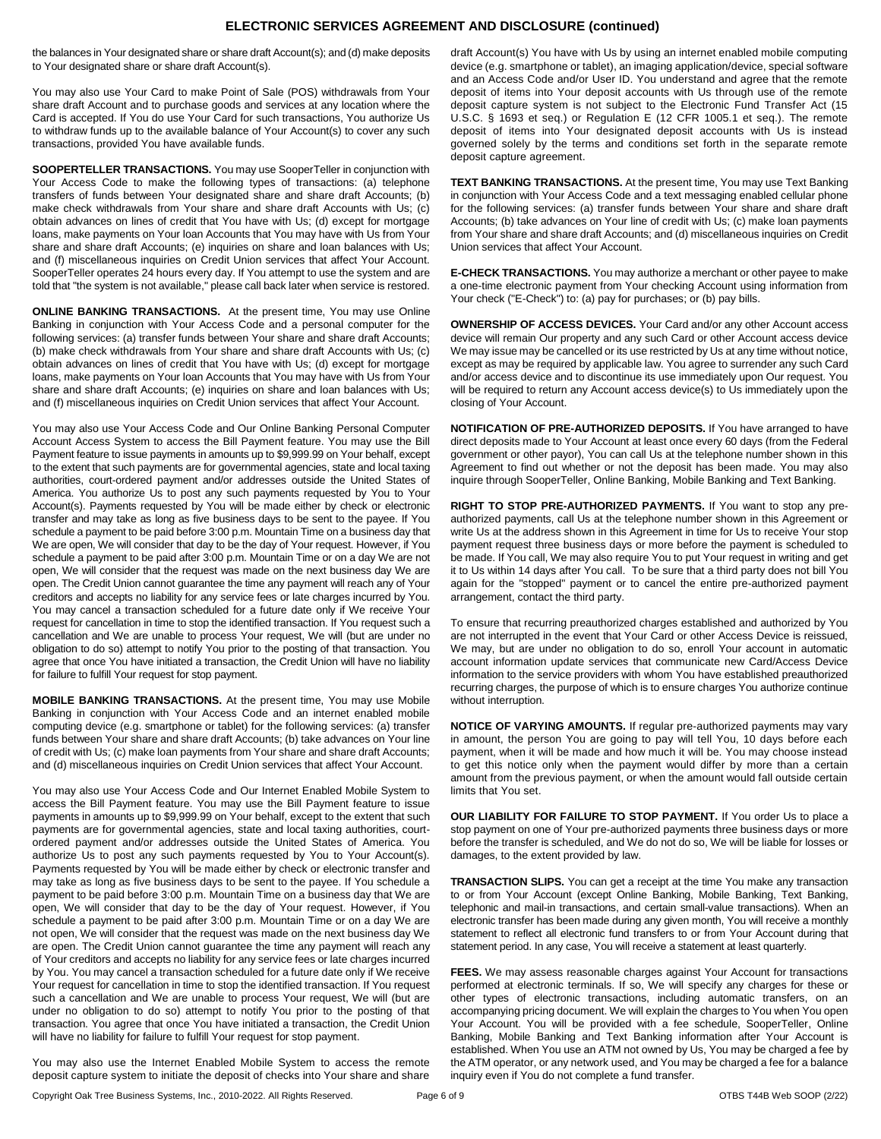# **ELECTRONIC SERVICES AGREEMENT AND DISCLOSURE (continued)**

the balances in Your designated share or share draft Account(s); and (d) make deposits to Your designated share or share draft Account(s).

You may also use Your Card to make Point of Sale (POS) withdrawals from Your share draft Account and to purchase goods and services at any location where the Card is accepted. If You do use Your Card for such transactions, You authorize Us to withdraw funds up to the available balance of Your Account(s) to cover any such transactions, provided You have available funds.

**SOOPERTELLER TRANSACTIONS.** You may use SooperTeller in conjunction with Your Access Code to make the following types of transactions: (a) telephone transfers of funds between Your designated share and share draft Accounts; (b) make check withdrawals from Your share and share draft Accounts with Us; (c) obtain advances on lines of credit that You have with Us; (d) except for mortgage loans, make payments on Your loan Accounts that You may have with Us from Your share and share draft Accounts; (e) inquiries on share and loan balances with Us; and (f) miscellaneous inquiries on Credit Union services that affect Your Account. SooperTeller operates 24 hours every day. If You attempt to use the system and are told that "the system is not available," please call back later when service is restored.

**ONLINE BANKING TRANSACTIONS.** At the present time, You may use Online Banking in conjunction with Your Access Code and a personal computer for the following services: (a) transfer funds between Your share and share draft Accounts; (b) make check withdrawals from Your share and share draft Accounts with Us; (c) obtain advances on lines of credit that You have with Us; (d) except for mortgage loans, make payments on Your loan Accounts that You may have with Us from Your share and share draft Accounts; (e) inquiries on share and loan balances with Us; and (f) miscellaneous inquiries on Credit Union services that affect Your Account.

You may also use Your Access Code and Our Online Banking Personal Computer Account Access System to access the Bill Payment feature. You may use the Bill Payment feature to issue payments in amounts up to \$9,999.99 on Your behalf, except to the extent that such payments are for governmental agencies, state and local taxing authorities, court-ordered payment and/or addresses outside the United States of America. You authorize Us to post any such payments requested by You to Your Account(s). Payments requested by You will be made either by check or electronic transfer and may take as long as five business days to be sent to the payee. If You schedule a payment to be paid before 3:00 p.m. Mountain Time on a business day that We are open, We will consider that day to be the day of Your request. However, if You schedule a payment to be paid after 3:00 p.m. Mountain Time or on a day We are not open, We will consider that the request was made on the next business day We are open. The Credit Union cannot guarantee the time any payment will reach any of Your creditors and accepts no liability for any service fees or late charges incurred by You. You may cancel a transaction scheduled for a future date only if We receive Your request for cancellation in time to stop the identified transaction. If You request such a cancellation and We are unable to process Your request, We will (but are under no obligation to do so) attempt to notify You prior to the posting of that transaction. You agree that once You have initiated a transaction, the Credit Union will have no liability for failure to fulfill Your request for stop payment.

**MOBILE BANKING TRANSACTIONS.** At the present time, You may use Mobile Banking in conjunction with Your Access Code and an internet enabled mobile computing device (e.g. smartphone or tablet) for the following services: (a) transfer funds between Your share and share draft Accounts; (b) take advances on Your line of credit with Us; (c) make loan payments from Your share and share draft Accounts; and (d) miscellaneous inquiries on Credit Union services that affect Your Account.

You may also use Your Access Code and Our Internet Enabled Mobile System to access the Bill Payment feature. You may use the Bill Payment feature to issue payments in amounts up to \$9,999.99 on Your behalf, except to the extent that such payments are for governmental agencies, state and local taxing authorities, courtordered payment and/or addresses outside the United States of America. You authorize Us to post any such payments requested by You to Your Account(s). Payments requested by You will be made either by check or electronic transfer and may take as long as five business days to be sent to the payee. If You schedule a payment to be paid before 3:00 p.m. Mountain Time on a business day that We are open, We will consider that day to be the day of Your request. However, if You schedule a payment to be paid after 3:00 p.m. Mountain Time or on a day We are not open, We will consider that the request was made on the next business day We are open. The Credit Union cannot guarantee the time any payment will reach any of Your creditors and accepts no liability for any service fees or late charges incurred by You. You may cancel a transaction scheduled for a future date only if We receive Your request for cancellation in time to stop the identified transaction. If You request such a cancellation and We are unable to process Your request, We will (but are under no obligation to do so) attempt to notify You prior to the posting of that transaction. You agree that once You have initiated a transaction, the Credit Union will have no liability for failure to fulfill Your request for stop payment.

You may also use the Internet Enabled Mobile System to access the remote deposit capture system to initiate the deposit of checks into Your share and share draft Account(s) You have with Us by using an internet enabled mobile computing device (e.g. smartphone or tablet), an imaging application/device, special software and an Access Code and/or User ID. You understand and agree that the remote deposit of items into Your deposit accounts with Us through use of the remote deposit capture system is not subject to the Electronic Fund Transfer Act (15 U.S.C. § 1693 et seq.) or Regulation E (12 CFR 1005.1 et seq.). The remote deposit of items into Your designated deposit accounts with Us is instead governed solely by the terms and conditions set forth in the separate remote deposit capture agreement.

**TEXT BANKING TRANSACTIONS.** At the present time, You may use Text Banking in conjunction with Your Access Code and a text messaging enabled cellular phone for the following services: (a) transfer funds between Your share and share draft Accounts; (b) take advances on Your line of credit with Us; (c) make loan payments from Your share and share draft Accounts; and (d) miscellaneous inquiries on Credit Union services that affect Your Account.

**E-CHECK TRANSACTIONS.** You may authorize a merchant or other payee to make a one-time electronic payment from Your checking Account using information from Your check ("E-Check") to: (a) pay for purchases; or (b) pay bills.

**OWNERSHIP OF ACCESS DEVICES.** Your Card and/or any other Account access device will remain Our property and any such Card or other Account access device We may issue may be cancelled or its use restricted by Us at any time without notice, except as may be required by applicable law. You agree to surrender any such Card and/or access device and to discontinue its use immediately upon Our request. You will be required to return any Account access device(s) to Us immediately upon the closing of Your Account.

**NOTIFICATION OF PRE-AUTHORIZED DEPOSITS.** If You have arranged to have direct deposits made to Your Account at least once every 60 days (from the Federal government or other payor), You can call Us at the telephone number shown in this Agreement to find out whether or not the deposit has been made. You may also inquire through SooperTeller, Online Banking, Mobile Banking and Text Banking.

**RIGHT TO STOP PRE-AUTHORIZED PAYMENTS.** If You want to stop any preauthorized payments, call Us at the telephone number shown in this Agreement or write Us at the address shown in this Agreement in time for Us to receive Your stop payment request three business days or more before the payment is scheduled to be made. If You call, We may also require You to put Your request in writing and get it to Us within 14 days after You call. To be sure that a third party does not bill You again for the "stopped" payment or to cancel the entire pre-authorized payment arrangement, contact the third party.

To ensure that recurring preauthorized charges established and authorized by You are not interrupted in the event that Your Card or other Access Device is reissued, We may, but are under no obligation to do so, enroll Your account in automatic account information update services that communicate new Card/Access Device information to the service providers with whom You have established preauthorized recurring charges, the purpose of which is to ensure charges You authorize continue without interruption.

**NOTICE OF VARYING AMOUNTS.** If regular pre-authorized payments may vary in amount, the person You are going to pay will tell You, 10 days before each payment, when it will be made and how much it will be. You may choose instead to get this notice only when the payment would differ by more than a certain amount from the previous payment, or when the amount would fall outside certain limits that You set.

**OUR LIABILITY FOR FAILURE TO STOP PAYMENT.** If You order Us to place a stop payment on one of Your pre-authorized payments three business days or more before the transfer is scheduled, and We do not do so, We will be liable for losses or damages, to the extent provided by law.

**TRANSACTION SLIPS.** You can get a receipt at the time You make any transaction to or from Your Account (except Online Banking, Mobile Banking, Text Banking, telephonic and mail-in transactions, and certain small-value transactions). When an electronic transfer has been made during any given month, You will receive a monthly statement to reflect all electronic fund transfers to or from Your Account during that statement period. In any case, You will receive a statement at least quarterly.

**FEES.** We may assess reasonable charges against Your Account for transactions performed at electronic terminals. If so, We will specify any charges for these or other types of electronic transactions, including automatic transfers, on an accompanying pricing document. We will explain the charges to You when You open Your Account. You will be provided with a fee schedule, SooperTeller, Online Banking, Mobile Banking and Text Banking information after Your Account is established. When You use an ATM not owned by Us, You may be charged a fee by the ATM operator, or any network used, and You may be charged a fee for a balance inquiry even if You do not complete a fund transfer.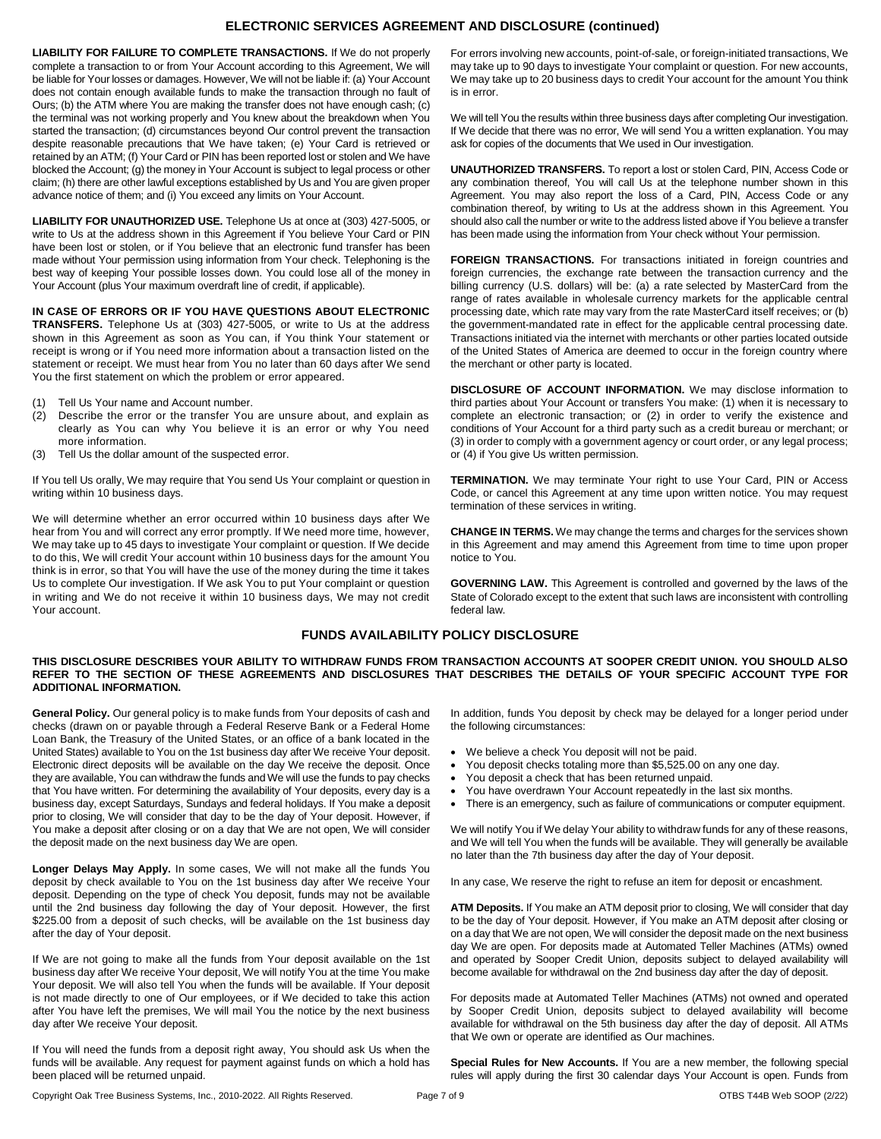# **ELECTRONIC SERVICES AGREEMENT AND DISCLOSURE (continued)**

**LIABILITY FOR FAILURE TO COMPLETE TRANSACTIONS.** If We do not properly complete a transaction to or from Your Account according to this Agreement, We will be liable for Your losses or damages. However, We will not be liable if: (a) Your Account does not contain enough available funds to make the transaction through no fault of Ours; (b) the ATM where You are making the transfer does not have enough cash; (c) the terminal was not working properly and You knew about the breakdown when You started the transaction; (d) circumstances beyond Our control prevent the transaction despite reasonable precautions that We have taken; (e) Your Card is retrieved or retained by an ATM; (f) Your Card or PIN has been reported lost or stolen and We have blocked the Account; (g) the money in Your Account is subject to legal process or other claim; (h) there are other lawful exceptions established by Us and You are given proper advance notice of them; and (i) You exceed any limits on Your Account.

**LIABILITY FOR UNAUTHORIZED USE.** Telephone Us at once at (303) 427-5005, or write to Us at the address shown in this Agreement if You believe Your Card or PIN have been lost or stolen, or if You believe that an electronic fund transfer has been made without Your permission using information from Your check. Telephoning is the best way of keeping Your possible losses down. You could lose all of the money in Your Account (plus Your maximum overdraft line of credit, if applicable).

**IN CASE OF ERRORS OR IF YOU HAVE QUESTIONS ABOUT ELECTRONIC TRANSFERS.** Telephone Us at (303) 427-5005, or write to Us at the address shown in this Agreement as soon as You can, if You think Your statement or receipt is wrong or if You need more information about a transaction listed on the statement or receipt. We must hear from You no later than 60 days after We send You the first statement on which the problem or error appeared.

- (1) Tell Us Your name and Account number.
- (2) Describe the error or the transfer You are unsure about, and explain as clearly as You can why You believe it is an error or why You need more information.
- (3) Tell Us the dollar amount of the suspected error.

If You tell Us orally, We may require that You send Us Your complaint or question in writing within 10 business days.

We will determine whether an error occurred within 10 business days after We hear from You and will correct any error promptly. If We need more time, however, We may take up to 45 days to investigate Your complaint or question. If We decide to do this, We will credit Your account within 10 business days for the amount You think is in error, so that You will have the use of the money during the time it takes Us to complete Our investigation. If We ask You to put Your complaint or question in writing and We do not receive it within 10 business days, We may not credit Your account.

For errors involving new accounts, point-of-sale, or foreign-initiated transactions, We may take up to 90 days to investigate Your complaint or question. For new accounts, We may take up to 20 business days to credit Your account for the amount You think is in error.

We will tell You the results within three business days after completing Our investigation. If We decide that there was no error, We will send You a written explanation. You may ask for copies of the documents that We used in Our investigation.

**UNAUTHORIZED TRANSFERS.** To report a lost or stolen Card, PIN, Access Code or any combination thereof, You will call Us at the telephone number shown in this Agreement. You may also report the loss of a Card, PIN, Access Code or any combination thereof, by writing to Us at the address shown in this Agreement. You should also call the number or write to the address listed above if You believe a transfer has been made using the information from Your check without Your permission.

FOREIGN TRANSACTIONS. For transactions initiated in foreign countries and foreign currencies, the exchange rate between the transaction currency and the billing currency (U.S. dollars) will be: (a) a rate selected by MasterCard from the range of rates available in wholesale currency markets for the applicable central processing date, which rate may vary from the rate MasterCard itself receives; or (b) the government-mandated rate in effect for the applicable central processing date. Transactions initiated via the internet with merchants or other parties located outside of the United States of America are deemed to occur in the foreign country where the merchant or other party is located.

**DISCLOSURE OF ACCOUNT INFORMATION.** We may disclose information to third parties about Your Account or transfers You make: (1) when it is necessary to complete an electronic transaction; or (2) in order to verify the existence and conditions of Your Account for a third party such as a credit bureau or merchant; or (3) in order to comply with a government agency or court order, or any legal process; or (4) if You give Us written permission.

**TERMINATION.** We may terminate Your right to use Your Card, PIN or Access Code, or cancel this Agreement at any time upon written notice. You may request termination of these services in writing.

**CHANGE IN TERMS.** We may change the terms and charges for the services shown in this Agreement and may amend this Agreement from time to time upon proper notice to You.

**GOVERNING LAW.** This Agreement is controlled and governed by the laws of the State of Colorado except to the extent that such laws are inconsistent with controlling federal law.

# **FUNDS AVAILABILITY POLICY DISCLOSURE**

#### **THIS DISCLOSURE DESCRIBES YOUR ABILITY TO WITHDRAW FUNDS FROM TRANSACTION ACCOUNTS AT SOOPER CREDIT UNION. YOU SHOULD ALSO REFER TO THE SECTION OF THESE AGREEMENTS AND DISCLOSURES THAT DESCRIBES THE DETAILS OF YOUR SPECIFIC ACCOUNT TYPE FOR ADDITIONAL INFORMATION.**

**General Policy.** Our general policy is to make funds from Your deposits of cash and checks (drawn on or payable through a Federal Reserve Bank or a Federal Home Loan Bank, the Treasury of the United States, or an office of a bank located in the United States) available to You on the 1st business day after We receive Your deposit. Electronic direct deposits will be available on the day We receive the deposit. Once they are available, You can withdraw the funds and We will use the funds to pay checks that You have written. For determining the availability of Your deposits, every day is a business day, except Saturdays, Sundays and federal holidays. If You make a deposit prior to closing, We will consider that day to be the day of Your deposit. However, if You make a deposit after closing or on a day that We are not open, We will consider the deposit made on the next business day We are open.

**Longer Delays May Apply.** In some cases, We will not make all the funds You deposit by check available to You on the 1st business day after We receive Your deposit. Depending on the type of check You deposit, funds may not be available until the 2nd business day following the day of Your deposit. However, the first \$225.00 from a deposit of such checks, will be available on the 1st business day after the day of Your deposit.

If We are not going to make all the funds from Your deposit available on the 1st business day after We receive Your deposit, We will notify You at the time You make Your deposit. We will also tell You when the funds will be available. If Your deposit is not made directly to one of Our employees, or if We decided to take this action after You have left the premises, We will mail You the notice by the next business day after We receive Your deposit.

If You will need the funds from a deposit right away, You should ask Us when the funds will be available. Any request for payment against funds on which a hold has been placed will be returned unpaid.

In addition, funds You deposit by check may be delayed for a longer period under the following circumstances:

- We believe a check You deposit will not be paid.
- You deposit checks totaling more than \$5,525.00 on any one day.
- You deposit a check that has been returned unpaid.
- You have overdrawn Your Account repeatedly in the last six months.
- There is an emergency, such as failure of communications or computer equipment.

We will notify You if We delay Your ability to withdraw funds for any of these reasons, and We will tell You when the funds will be available. They will generally be available no later than the 7th business day after the day of Your deposit.

In any case. We reserve the right to refuse an item for deposit or encashment.

**ATM Deposits.** If You make an ATM deposit prior to closing, We will consider that day to be the day of Your deposit. However, if You make an ATM deposit after closing or on a day that We are not open, We will consider the deposit made on the next business day We are open. For deposits made at Automated Teller Machines (ATMs) owned and operated by Sooper Credit Union, deposits subject to delayed availability will become available for withdrawal on the 2nd business day after the day of deposit.

For deposits made at Automated Teller Machines (ATMs) not owned and operated by Sooper Credit Union, deposits subject to delayed availability will become available for withdrawal on the 5th business day after the day of deposit. All ATMs that We own or operate are identified as Our machines.

**Special Rules for New Accounts.** If You are a new member, the following special rules will apply during the first 30 calendar days Your Account is open. Funds from

Copyright Oak Tree Business Systems, Inc., 2010-2022. All Rights Reserved. Page 7 of 9 OTBS T44B Web SOOP (2/22)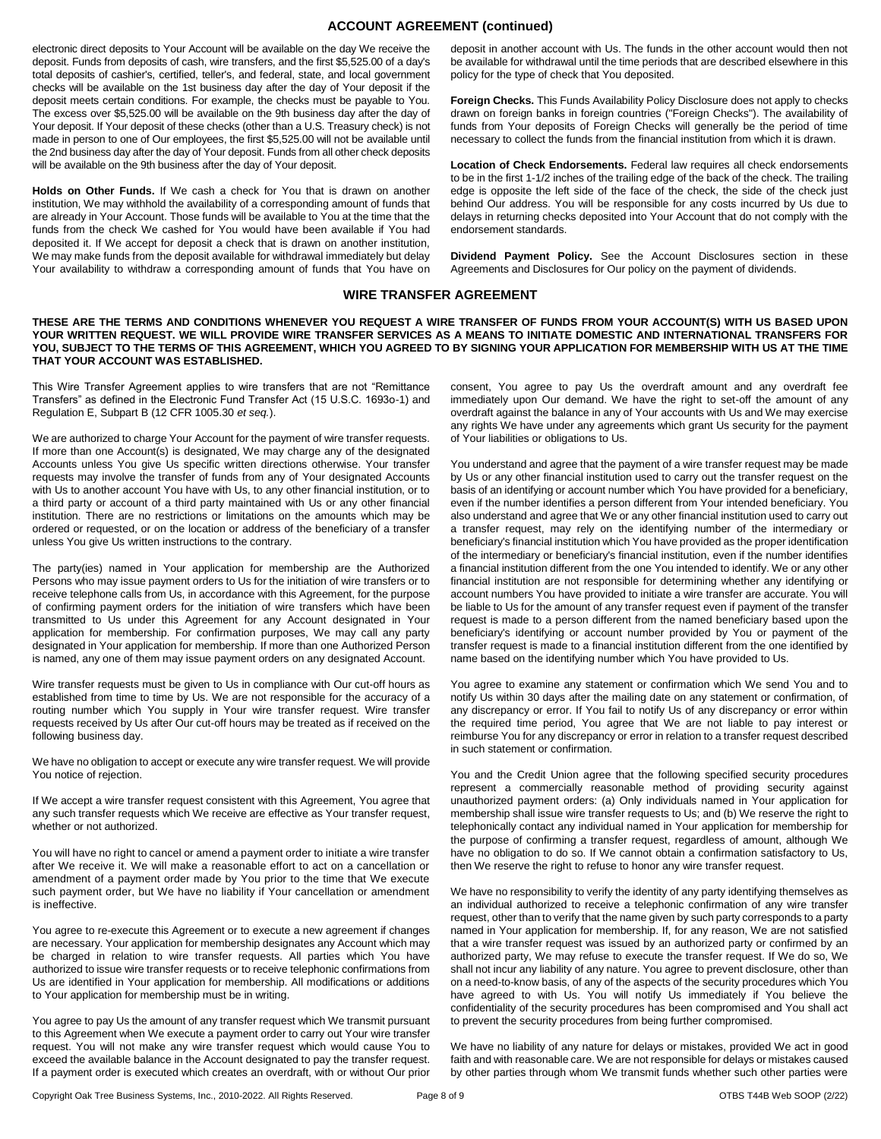# **ACCOUNT AGREEMENT (continued)**

electronic direct deposits to Your Account will be available on the day We receive the deposit. Funds from deposits of cash, wire transfers, and the first \$5,525.00 of a day's total deposits of cashier's, certified, teller's, and federal, state, and local government checks will be available on the 1st business day after the day of Your deposit if the deposit meets certain conditions. For example, the checks must be payable to You. The excess over \$5,525.00 will be available on the 9th business day after the day of Your deposit. If Your deposit of these checks (other than a U.S. Treasury check) is not made in person to one of Our employees, the first \$5,525.00 will not be available until the 2nd business day after the day of Your deposit. Funds from all other check deposits will be available on the 9th business after the day of Your deposit.

**Holds on Other Funds.** If We cash a check for You that is drawn on another institution, We may withhold the availability of a corresponding amount of funds that are already in Your Account. Those funds will be available to You at the time that the funds from the check We cashed for You would have been available if You had deposited it. If We accept for deposit a check that is drawn on another institution, We may make funds from the deposit available for withdrawal immediately but delay Your availability to withdraw a corresponding amount of funds that You have on

deposit in another account with Us. The funds in the other account would then not be available for withdrawal until the time periods that are described elsewhere in this policy for the type of check that You deposited.

**Foreign Checks.** This Funds Availability Policy Disclosure does not apply to checks drawn on foreign banks in foreign countries ("Foreign Checks"). The availability of funds from Your deposits of Foreign Checks will generally be the period of time necessary to collect the funds from the financial institution from which it is drawn.

**Location of Check Endorsements.** Federal law requires all check endorsements to be in the first 1-1/2 inches of the trailing edge of the back of the check. The trailing edge is opposite the left side of the face of the check, the side of the check just behind Our address. You will be responsible for any costs incurred by Us due to delays in returning checks deposited into Your Account that do not comply with the endorsement standards.

**Dividend Payment Policy.** See the Account Disclosures section in these Agreements and Disclosures for Our policy on the payment of dividends.

## **WIRE TRANSFER AGREEMENT**

**THESE ARE THE TERMS AND CONDITIONS WHENEVER YOU REQUEST A WIRE TRANSFER OF FUNDS FROM YOUR ACCOUNT(S) WITH US BASED UPON YOUR WRITTEN REQUEST. WE WILL PROVIDE WIRE TRANSFER SERVICES AS A MEANS TO INITIATE DOMESTIC AND INTERNATIONAL TRANSFERS FOR YOU, SUBJECT TO THE TERMS OF THIS AGREEMENT, WHICH YOU AGREED TO BY SIGNING YOUR APPLICATION FOR MEMBERSHIP WITH US AT THE TIME THAT YOUR ACCOUNT WAS ESTABLISHED.** 

This Wire Transfer Agreement applies to wire transfers that are not "Remittance Transfers" as defined in the Electronic Fund Transfer Act (15 U.S.C. 1693o-1) and Regulation E, Subpart B (12 CFR 1005.30 *et seq.*).

We are authorized to charge Your Account for the payment of wire transfer requests. If more than one Account(s) is designated, We may charge any of the designated Accounts unless You give Us specific written directions otherwise. Your transfer requests may involve the transfer of funds from any of Your designated Accounts with Us to another account You have with Us, to any other financial institution, or to a third party or account of a third party maintained with Us or any other financial institution. There are no restrictions or limitations on the amounts which may be ordered or requested, or on the location or address of the beneficiary of a transfer unless You give Us written instructions to the contrary.

The party(ies) named in Your application for membership are the Authorized Persons who may issue payment orders to Us for the initiation of wire transfers or to receive telephone calls from Us, in accordance with this Agreement, for the purpose of confirming payment orders for the initiation of wire transfers which have been transmitted to Us under this Agreement for any Account designated in Your application for membership. For confirmation purposes, We may call any party designated in Your application for membership. If more than one Authorized Person is named, any one of them may issue payment orders on any designated Account.

Wire transfer requests must be given to Us in compliance with Our cut-off hours as established from time to time by Us. We are not responsible for the accuracy of a routing number which You supply in Your wire transfer request. Wire transfer requests received by Us after Our cut-off hours may be treated as if received on the following business day.

We have no obligation to accept or execute any wire transfer request. We will provide You notice of rejection.

If We accept a wire transfer request consistent with this Agreement, You agree that any such transfer requests which We receive are effective as Your transfer request, whether or not authorized.

You will have no right to cancel or amend a payment order to initiate a wire transfer after We receive it. We will make a reasonable effort to act on a cancellation or amendment of a payment order made by You prior to the time that We execute such payment order, but We have no liability if Your cancellation or amendment is ineffective.

You agree to re-execute this Agreement or to execute a new agreement if changes are necessary. Your application for membership designates any Account which may be charged in relation to wire transfer requests. All parties which You have authorized to issue wire transfer requests or to receive telephonic confirmations from Us are identified in Your application for membership. All modifications or additions to Your application for membership must be in writing.

You agree to pay Us the amount of any transfer request which We transmit pursuant to this Agreement when We execute a payment order to carry out Your wire transfer request. You will not make any wire transfer request which would cause You to exceed the available balance in the Account designated to pay the transfer request. If a payment order is executed which creates an overdraft, with or without Our prior consent, You agree to pay Us the overdraft amount and any overdraft fee immediately upon Our demand. We have the right to set-off the amount of any overdraft against the balance in any of Your accounts with Us and We may exercise any rights We have under any agreements which grant Us security for the payment of Your liabilities or obligations to Us.

You understand and agree that the payment of a wire transfer request may be made by Us or any other financial institution used to carry out the transfer request on the basis of an identifying or account number which You have provided for a beneficiary, even if the number identifies a person different from Your intended beneficiary. You also understand and agree that We or any other financial institution used to carry out a transfer request, may rely on the identifying number of the intermediary or beneficiary's financial institution which You have provided as the proper identification of the intermediary or beneficiary's financial institution, even if the number identifies a financial institution different from the one You intended to identify. We or any other financial institution are not responsible for determining whether any identifying or account numbers You have provided to initiate a wire transfer are accurate. You will be liable to Us for the amount of any transfer request even if payment of the transfer request is made to a person different from the named beneficiary based upon the beneficiary's identifying or account number provided by You or payment of the transfer request is made to a financial institution different from the one identified by name based on the identifying number which You have provided to Us.

You agree to examine any statement or confirmation which We send You and to notify Us within 30 days after the mailing date on any statement or confirmation, of any discrepancy or error. If You fail to notify Us of any discrepancy or error within the required time period, You agree that We are not liable to pay interest or reimburse You for any discrepancy or error in relation to a transfer request described in such statement or confirmation.

You and the Credit Union agree that the following specified security procedures represent a commercially reasonable method of providing security against unauthorized payment orders: (a) Only individuals named in Your application for membership shall issue wire transfer requests to Us; and (b) We reserve the right to telephonically contact any individual named in Your application for membership for the purpose of confirming a transfer request, regardless of amount, although We have no obligation to do so. If We cannot obtain a confirmation satisfactory to Us, then We reserve the right to refuse to honor any wire transfer request.

We have no responsibility to verify the identity of any party identifying themselves as an individual authorized to receive a telephonic confirmation of any wire transfer request, other than to verify that the name given by such party corresponds to a party named in Your application for membership. If, for any reason, We are not satisfied that a wire transfer request was issued by an authorized party or confirmed by an authorized party, We may refuse to execute the transfer request. If We do so, We shall not incur any liability of any nature. You agree to prevent disclosure, other than on a need-to-know basis, of any of the aspects of the security procedures which You have agreed to with Us. You will notify Us immediately if You believe the confidentiality of the security procedures has been compromised and You shall act to prevent the security procedures from being further compromised.

We have no liability of any nature for delays or mistakes, provided We act in good faith and with reasonable care. We are not responsible for delays or mistakes caused by other parties through whom We transmit funds whether such other parties were